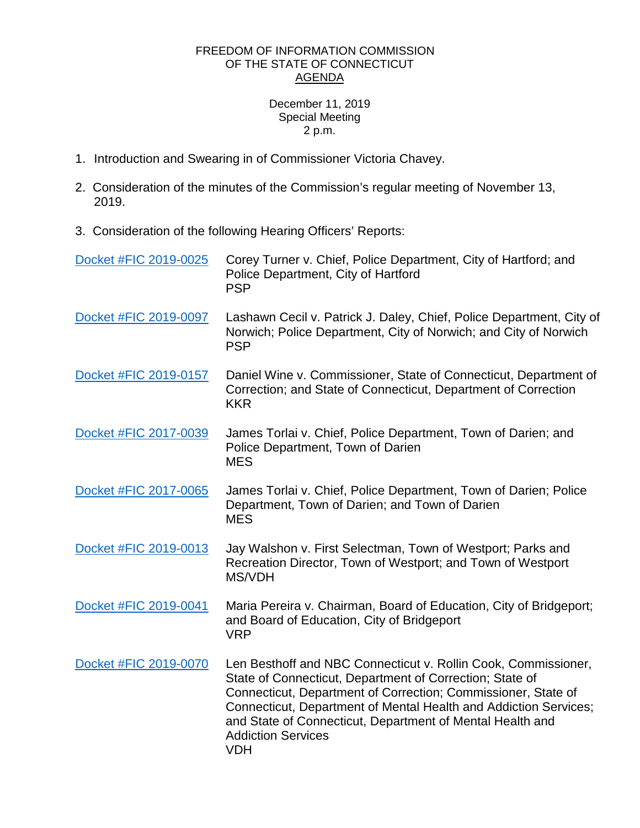## FREEDOM OF INFORMATION COMMISSION OF THE STATE OF CONNECTICUT AGENDA

## December 11, 2019 Special Meeting 2 p.m.

- 1. Introduction and Swearing in of Commissioner Victoria Chavey.
- 2. Consideration of the minutes of the Commission's regular meeting of November 13, 2019.
- 3. Consideration of the following Hearing Officers' Reports:

| Docket #FIC 2019-0025 | Corey Turner v. Chief, Police Department, City of Hartford; and<br>Police Department, City of Hartford<br><b>PSP</b>                                                                                                                                                                                                                                                    |
|-----------------------|-------------------------------------------------------------------------------------------------------------------------------------------------------------------------------------------------------------------------------------------------------------------------------------------------------------------------------------------------------------------------|
| Docket #FIC 2019-0097 | Lashawn Cecil v. Patrick J. Daley, Chief, Police Department, City of<br>Norwich; Police Department, City of Norwich; and City of Norwich<br><b>PSP</b>                                                                                                                                                                                                                  |
| Docket #FIC 2019-0157 | Daniel Wine v. Commissioner, State of Connecticut, Department of<br>Correction; and State of Connecticut, Department of Correction<br><b>KKR</b>                                                                                                                                                                                                                        |
| Docket #FIC 2017-0039 | James Torlai v. Chief, Police Department, Town of Darien; and<br>Police Department, Town of Darien<br><b>MES</b>                                                                                                                                                                                                                                                        |
| Docket #FIC 2017-0065 | James Torlai v. Chief, Police Department, Town of Darien; Police<br>Department, Town of Darien; and Town of Darien<br><b>MES</b>                                                                                                                                                                                                                                        |
| Docket #FIC 2019-0013 | Jay Walshon v. First Selectman, Town of Westport; Parks and<br>Recreation Director, Town of Westport; and Town of Westport<br>MS/VDH                                                                                                                                                                                                                                    |
| Docket #FIC 2019-0041 | Maria Pereira v. Chairman, Board of Education, City of Bridgeport;<br>and Board of Education, City of Bridgeport<br><b>VRP</b>                                                                                                                                                                                                                                          |
| Docket #FIC 2019-0070 | Len Besthoff and NBC Connecticut v. Rollin Cook, Commissioner,<br>State of Connecticut, Department of Correction; State of<br>Connecticut, Department of Correction; Commissioner, State of<br>Connecticut, Department of Mental Health and Addiction Services;<br>and State of Connecticut, Department of Mental Health and<br><b>Addiction Services</b><br><b>VDH</b> |